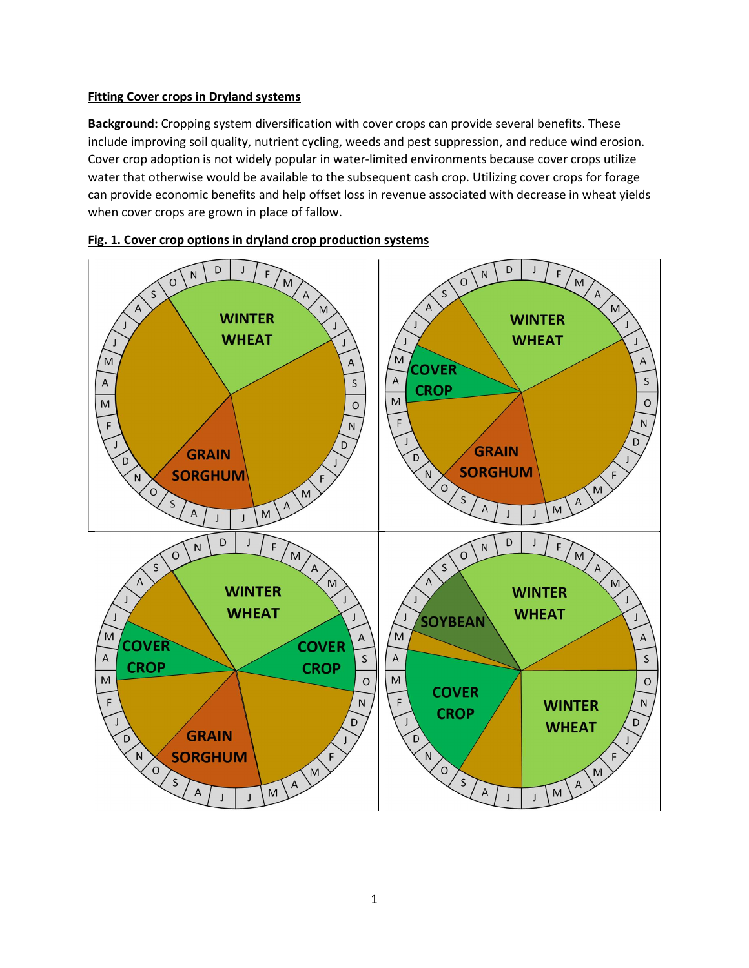## Fitting Cover crops in Dryland systems

Background: Cropping system diversification with cover crops can provide several benefits. These include improving soil quality, nutrient cycling, weeds and pest suppression, and reduce wind erosion. Cover crop adoption is not widely popular in water-limited environments because cover crops utilize water that otherwise would be available to the subsequent cash crop. Utilizing cover crops for forage can provide economic benefits and help offset loss in revenue associated with decrease in wheat yields when cover crops are grown in place of fallow.



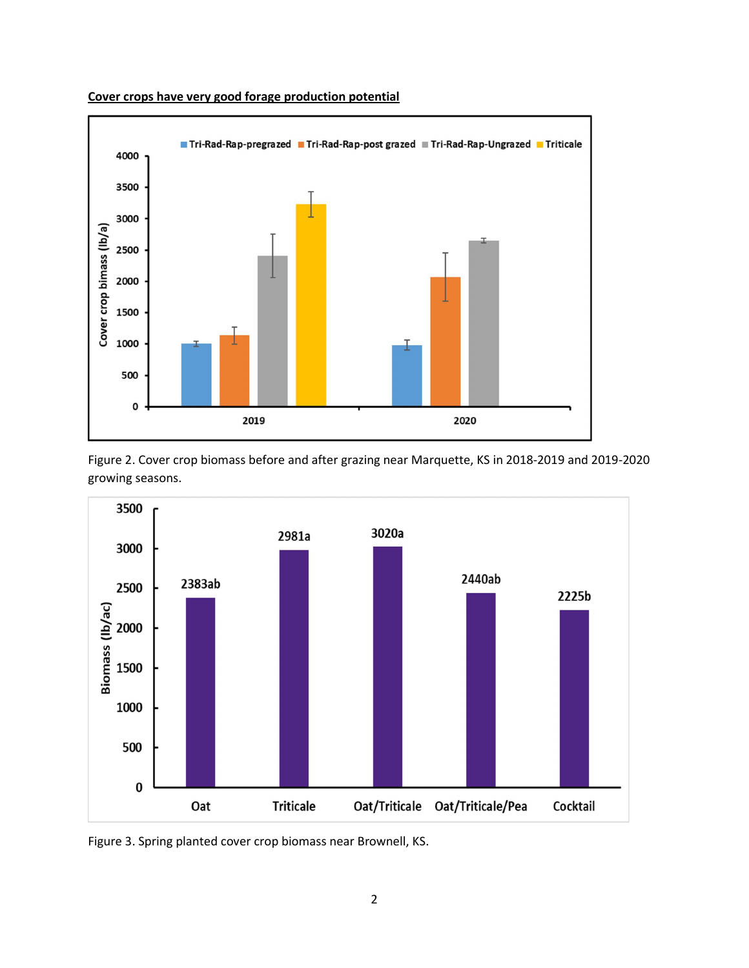

Cover crops have very good forage production potential





Figure 3. Spring planted cover crop biomass near Brownell, KS.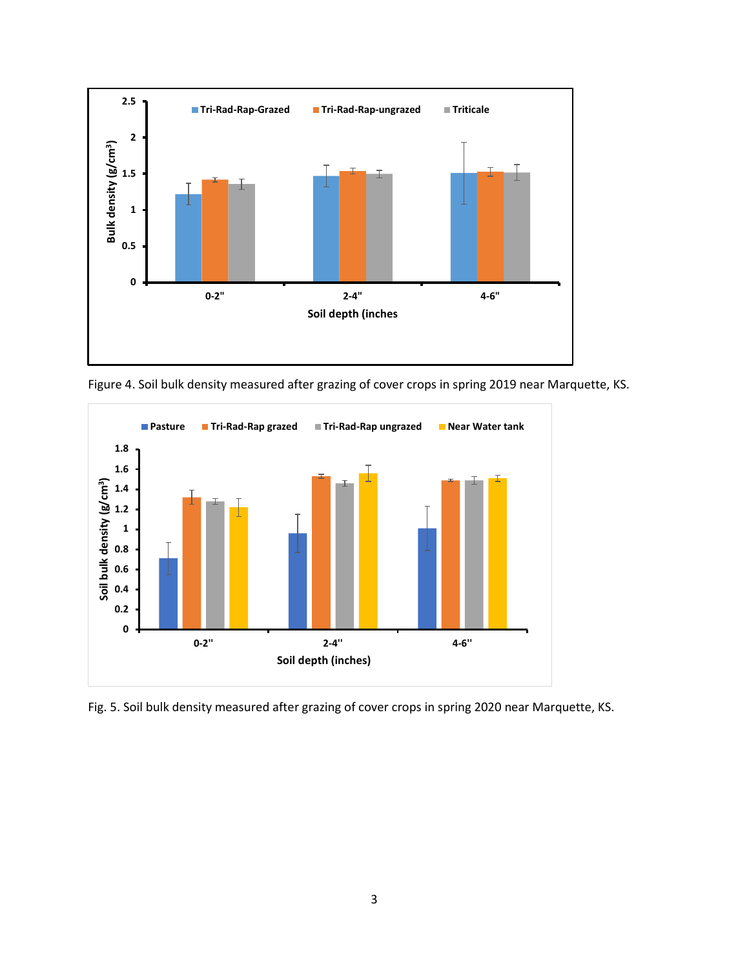

Figure 4. Soil bulk density measured after grazing of cover crops in spring 2019 near Marquette, KS.



Fig. 5. Soil bulk density measured after grazing of cover crops in spring 2020 near Marquette, KS.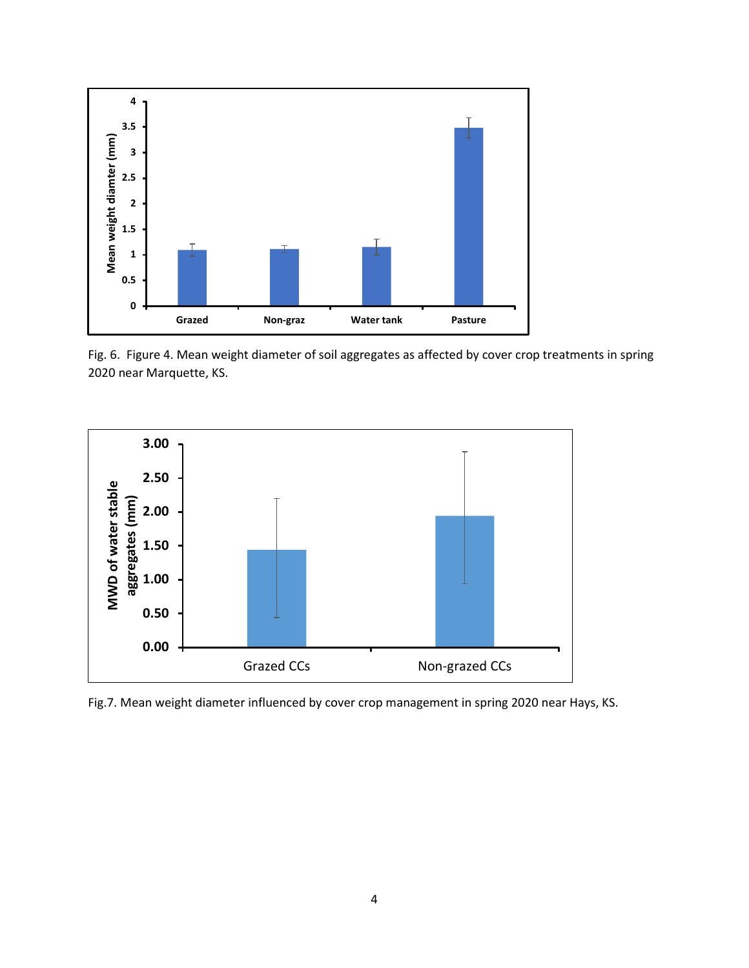

Fig. 6. Figure 4. Mean weight diameter of soil aggregates as affected by cover crop treatments in spring 2020 near Marquette, KS.



Fig.7. Mean weight diameter influenced by cover crop management in spring 2020 near Hays, KS.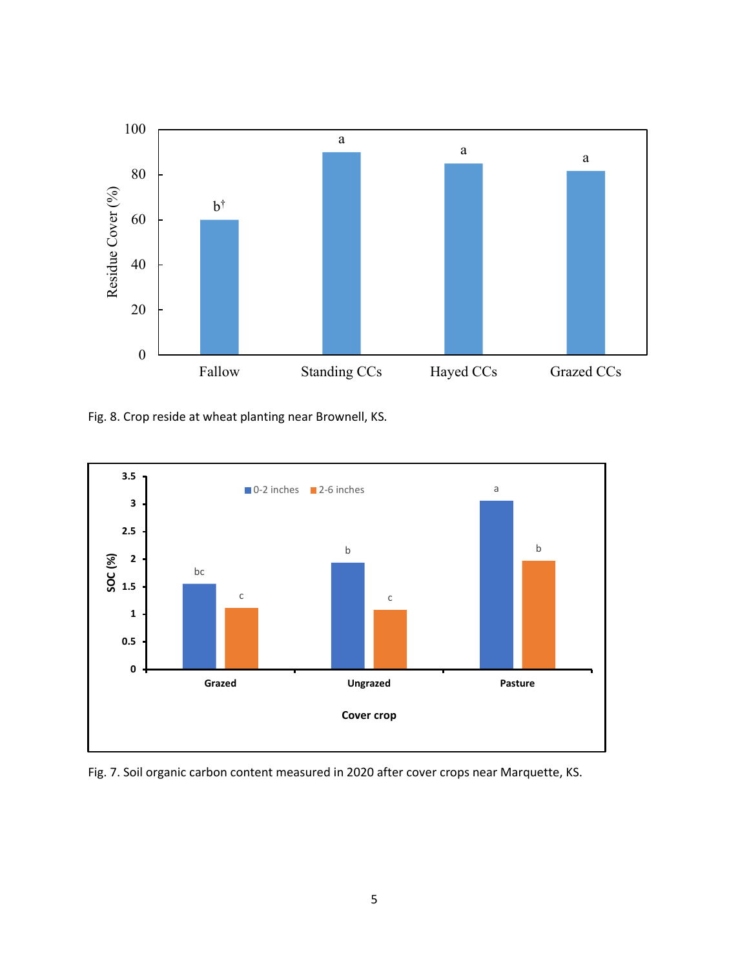

Fig. 8. Crop reside at wheat planting near Brownell, KS.



Fig. 7. Soil organic carbon content measured in 2020 after cover crops near Marquette, KS.